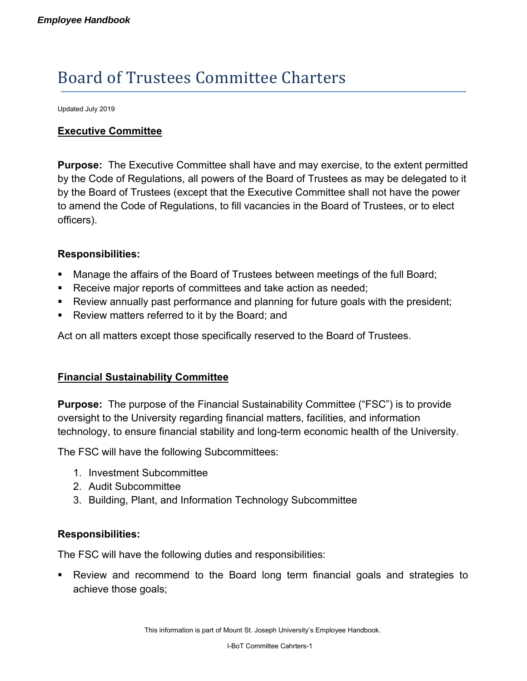# Board of Trustees Committee Charters

Updated July 2019

## **Executive Committee**

**Purpose:** The Executive Committee shall have and may exercise, to the extent permitted by the Code of Regulations, all powers of the Board of Trustees as may be delegated to it by the Board of Trustees (except that the Executive Committee shall not have the power to amend the Code of Regulations, to fill vacancies in the Board of Trustees, or to elect officers).

#### **Responsibilities:**

- Manage the affairs of the Board of Trustees between meetings of the full Board;
- **Receive major reports of committees and take action as needed;**
- Review annually past performance and planning for future goals with the president;
- Review matters referred to it by the Board; and

Act on all matters except those specifically reserved to the Board of Trustees.

#### **Financial Sustainability Committee**

**Purpose:** The purpose of the Financial Sustainability Committee ("FSC") is to provide oversight to the University regarding financial matters, facilities, and information technology, to ensure financial stability and long-term economic health of the University.

The FSC will have the following Subcommittees:

- 1. Investment Subcommittee
- 2. Audit Subcommittee
- 3. Building, Plant, and Information Technology Subcommittee

## **Responsibilities:**

The FSC will have the following duties and responsibilities:

 Review and recommend to the Board long term financial goals and strategies to achieve those goals;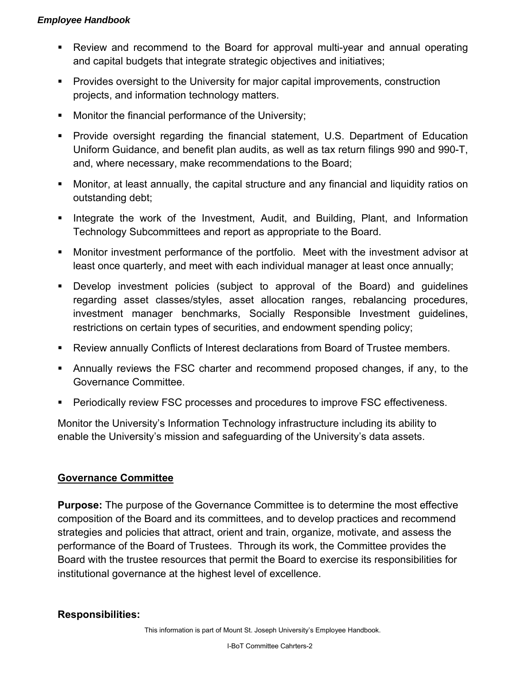- Review and recommend to the Board for approval multi-year and annual operating and capital budgets that integrate strategic objectives and initiatives;
- Provides oversight to the University for major capital improvements, construction projects, and information technology matters.
- **Monitor the financial performance of the University;**
- Provide oversight regarding the financial statement, U.S. Department of Education Uniform Guidance, and benefit plan audits, as well as tax return filings 990 and 990-T, and, where necessary, make recommendations to the Board;
- Monitor, at least annually, the capital structure and any financial and liquidity ratios on outstanding debt;
- **IF** Integrate the work of the Investment, Audit, and Building, Plant, and Information Technology Subcommittees and report as appropriate to the Board.
- Monitor investment performance of the portfolio. Meet with the investment advisor at least once quarterly, and meet with each individual manager at least once annually;
- Develop investment policies (subject to approval of the Board) and guidelines regarding asset classes/styles, asset allocation ranges, rebalancing procedures, investment manager benchmarks, Socially Responsible Investment guidelines, restrictions on certain types of securities, and endowment spending policy;
- Review annually Conflicts of Interest declarations from Board of Trustee members.
- Annually reviews the FSC charter and recommend proposed changes, if any, to the Governance Committee.
- **Periodically review FSC processes and procedures to improve FSC effectiveness.**

Monitor the University's Information Technology infrastructure including its ability to enable the University's mission and safeguarding of the University's data assets.

# **Governance Committee**

**Purpose:** The purpose of the Governance Committee is to determine the most effective composition of the Board and its committees, and to develop practices and recommend strategies and policies that attract, orient and train, organize, motivate, and assess the performance of the Board of Trustees. Through its work, the Committee provides the Board with the trustee resources that permit the Board to exercise its responsibilities for institutional governance at the highest level of excellence.

# **Responsibilities:**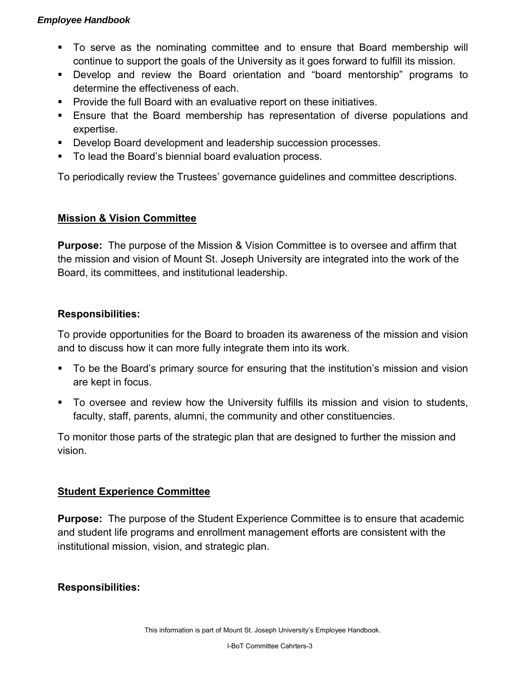- To serve as the nominating committee and to ensure that Board membership will continue to support the goals of the University as it goes forward to fulfill its mission.
- Develop and review the Board orientation and "board mentorship" programs to determine the effectiveness of each.
- Provide the full Board with an evaluative report on these initiatives.
- Ensure that the Board membership has representation of diverse populations and expertise.
- **Develop Board development and leadership succession processes.**
- To lead the Board's biennial board evaluation process.

To periodically review the Trustees' governance guidelines and committee descriptions.

# **Mission & Vision Committee**

**Purpose:** The purpose of the Mission & Vision Committee is to oversee and affirm that the mission and vision of Mount St. Joseph University are integrated into the work of the Board, its committees, and institutional leadership.

# **Responsibilities:**

To provide opportunities for the Board to broaden its awareness of the mission and vision and to discuss how it can more fully integrate them into its work.

- **To be the Board's primary source for ensuring that the institution's mission and vision** are kept in focus.
- To oversee and review how the University fulfills its mission and vision to students, faculty, staff, parents, alumni, the community and other constituencies.

To monitor those parts of the strategic plan that are designed to further the mission and vision.

# **Student Experience Committee**

**Purpose:** The purpose of the Student Experience Committee is to ensure that academic and student life programs and enrollment management efforts are consistent with the institutional mission, vision, and strategic plan.

# **Responsibilities:**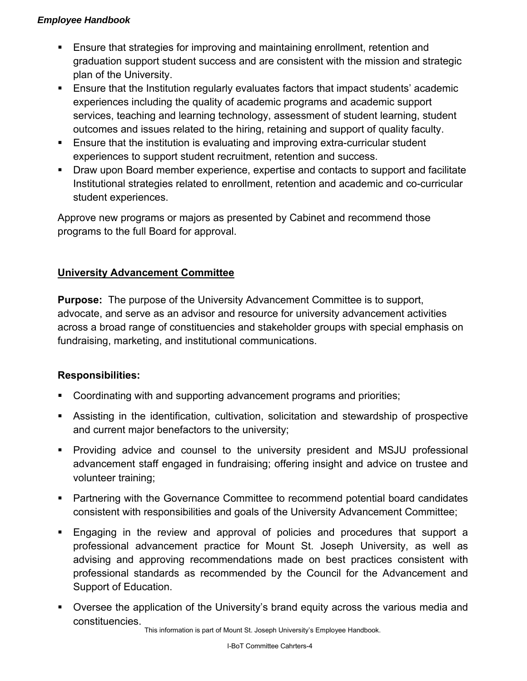- **Ensure that strategies for improving and maintaining enrollment, retention and** graduation support student success and are consistent with the mission and strategic plan of the University.
- **Ensure that the Institution regularly evaluates factors that impact students' academic** experiences including the quality of academic programs and academic support services, teaching and learning technology, assessment of student learning, student outcomes and issues related to the hiring, retaining and support of quality faculty.
- **Ensure that the institution is evaluating and improving extra-curricular student** experiences to support student recruitment, retention and success.
- **Draw upon Board member experience, expertise and contacts to support and facilitate** Institutional strategies related to enrollment, retention and academic and co-curricular student experiences.

Approve new programs or majors as presented by Cabinet and recommend those programs to the full Board for approval.

# **University Advancement Committee**

**Purpose:** The purpose of the University Advancement Committee is to support, advocate, and serve as an advisor and resource for university advancement activities across a broad range of constituencies and stakeholder groups with special emphasis on fundraising, marketing, and institutional communications.

## **Responsibilities:**

- **Coordinating with and supporting advancement programs and priorities;**
- Assisting in the identification, cultivation, solicitation and stewardship of prospective and current major benefactors to the university;
- Providing advice and counsel to the university president and MSJU professional advancement staff engaged in fundraising; offering insight and advice on trustee and volunteer training;
- Partnering with the Governance Committee to recommend potential board candidates consistent with responsibilities and goals of the University Advancement Committee;
- Engaging in the review and approval of policies and procedures that support a professional advancement practice for Mount St. Joseph University, as well as advising and approving recommendations made on best practices consistent with professional standards as recommended by the Council for the Advancement and Support of Education.
- Oversee the application of the University's brand equity across the various media and constituencies.

This information is part of Mount St. Joseph University's Employee Handbook.